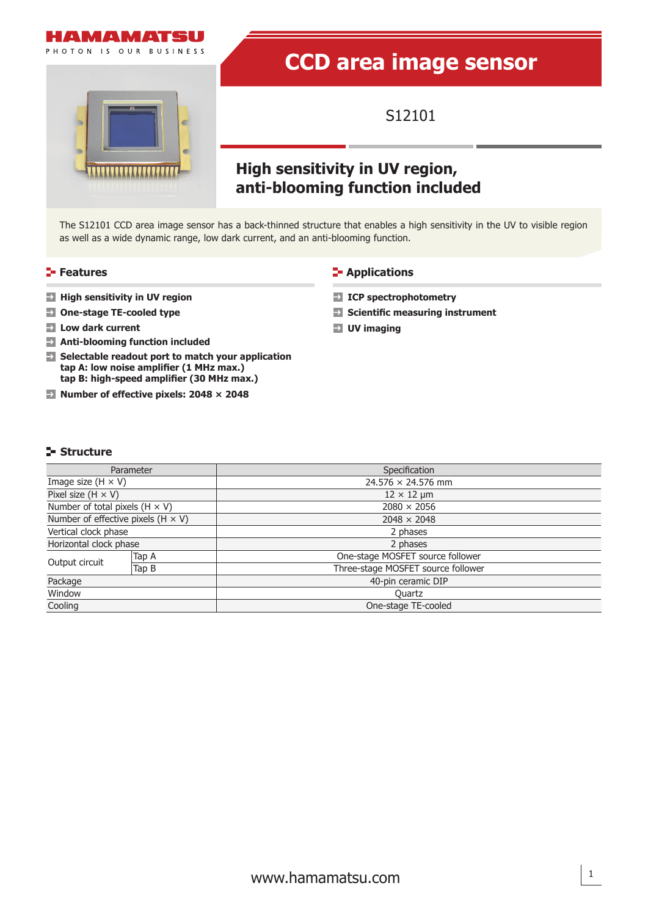



# **CCD area image sensor**

S12101

## **High sensitivity in UV region, anti-blooming function included**

The S12101 CCD area image sensor has a back-thinned structure that enables a high sensitivity in the UV to visible region as well as a wide dynamic range, low dark current, and an anti-blooming function.

- **High sensitivity in UV region**
- **One-stage TE-cooled type**
- **Low dark current**
- **Anti-blooming function included**
- **Selectable readout port to match your application tap A: low noise amplifier (1 MHz max.) tap B: high-speed amplifier (30 MHz max.)**
- **Number of effective pixels: 2048 × 2048**

#### **Features CONSIDER Applications**

- **ICP spectrophotometry**
- **Scientific measuring instrument**
- **UV imaging**

#### **Structure**

|                                           | Parameter | Specification                      |  |  |
|-------------------------------------------|-----------|------------------------------------|--|--|
| Image size $(H \times V)$                 |           | $24.576 \times 24.576$ mm          |  |  |
| Pixel size $(H \times V)$                 |           | $12 \times 12$ µm                  |  |  |
| Number of total pixels $(H \times V)$     |           | $2080 \times 2056$                 |  |  |
| Number of effective pixels $(H \times V)$ |           | $2048 \times 2048$                 |  |  |
| Vertical clock phase                      |           | 2 phases                           |  |  |
| Horizontal clock phase                    |           | 2 phases                           |  |  |
|                                           | Tap A     | One-stage MOSFET source follower   |  |  |
| Output circuit                            | Tap B     | Three-stage MOSFET source follower |  |  |
| Package                                   |           | 40-pin ceramic DIP                 |  |  |
| Window                                    |           | Quartz                             |  |  |
| Cooling                                   |           | One-stage TE-cooled                |  |  |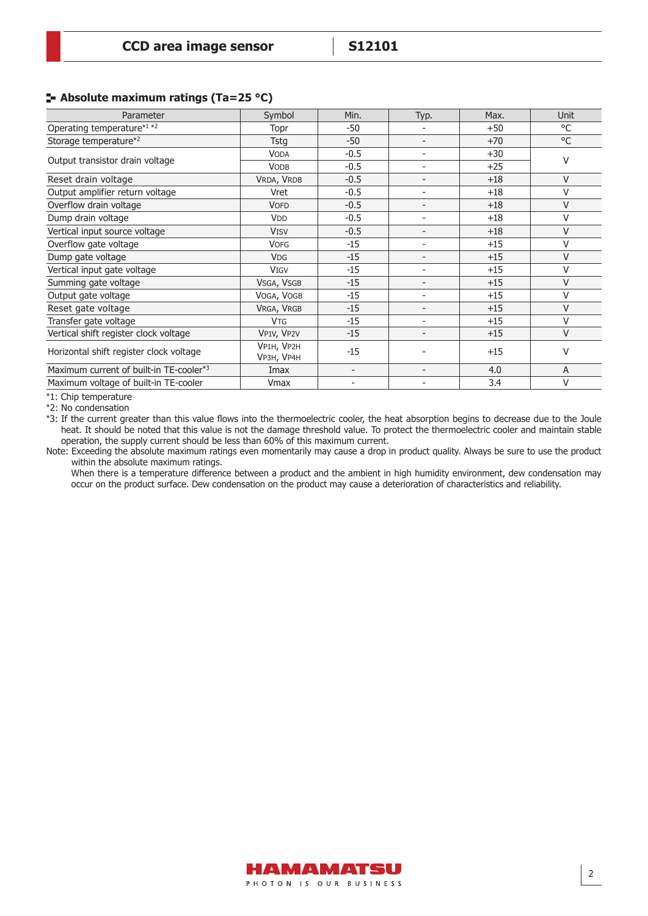#### **Absolute maximum ratings (Ta=25 °C)**

| Parameter                               | Symbol                   | Min.                               | Typ.                     | Max.  | <b>Unit</b> |  |
|-----------------------------------------|--------------------------|------------------------------------|--------------------------|-------|-------------|--|
| Operating temperature*1 *2              | Topr                     | $-50$                              |                          | $+50$ | °C          |  |
| Storage temperature*2                   | Tstg                     | $-50$                              | $\overline{\phantom{a}}$ | $+70$ | °C          |  |
|                                         | <b>VODA</b>              | $-0.5$                             | $\overline{\phantom{a}}$ | $+30$ | $\vee$      |  |
| Output transistor drain voltage         | <b>VODB</b>              | $-0.5$<br>$\overline{\phantom{a}}$ |                          | $+25$ |             |  |
| Reset drain voltage                     | VRDA, VRDB               | $-0.5$                             | $\overline{\phantom{a}}$ | $+18$ | V           |  |
| Output amplifier return voltage         | Vret                     | $-0.5$                             | $\overline{\phantom{0}}$ | $+18$ | V           |  |
| Overflow drain voltage                  | <b>VOFD</b>              | $-0.5$                             | $\overline{\phantom{a}}$ | $+18$ | $\vee$      |  |
| Dump drain voltage                      | <b>V<sub>DD</sub></b>    | $-0.5$                             | $\overline{\phantom{a}}$ | $+18$ | $\vee$      |  |
| Vertical input source voltage           | <b>VISV</b>              | $-0.5$                             |                          | $+18$ | V           |  |
| Overflow gate voltage                   | <b>VOFG</b>              | $-15$                              | $\overline{\phantom{a}}$ | $+15$ | V           |  |
| Dump gate voltage                       | <b>VDG</b>               | $-15$                              | $\overline{\phantom{a}}$ | $+15$ | $\vee$      |  |
| Vertical input gate voltage             | <b>VIGV</b>              | $-15$                              | $\overline{\phantom{a}}$ | $+15$ | V           |  |
| Summing gate voltage                    | VSGA, VSGB               | $-15$                              | $\overline{\phantom{a}}$ | $+15$ | V           |  |
| Output gate voltage                     | VOGA, VOGB               | $-15$                              | $\overline{\phantom{a}}$ | $+15$ | V           |  |
| Reset gate voltage                      | VRGA, VRGB               | $-15$                              | $\overline{\phantom{a}}$ | $+15$ | $\vee$      |  |
| Transfer gate voltage                   | <b>VTG</b>               | $-15$                              |                          | $+15$ | $\vee$      |  |
| Vertical shift register clock voltage   | VP1V, VP2V               | $-15$                              | $\overline{\phantom{a}}$ | $+15$ | $\vee$      |  |
| Horizontal shift register clock voltage | VP1H, VP2H<br>VP3H, VP4H | $-15$                              |                          | $+15$ | $\vee$      |  |
| Maximum current of built-in TE-cooler*3 | Imax                     | $\overline{\phantom{a}}$           | $\overline{\phantom{a}}$ | 4.0   | A           |  |
| Maximum voltage of built-in TE-cooler   | Vmax                     | $\overline{\phantom{a}}$           |                          | 3.4   | V           |  |

\*1: Chip temperature

\*2: No condensation

\*3: If the current greater than this value flows into the thermoelectric cooler, the heat absorption begins to decrease due to the Joule heat. It should be noted that this value is not the damage threshold value. To protect the thermoelectric cooler and maintain stable operation, the supply current should be less than 60% of this maximum current.

Note: Exceeding the absolute maximum ratings even momentarily may cause a drop in product quality. Always be sure to use the product within the absolute maximum ratings.

When there is a temperature difference between a product and the ambient in high humidity environment, dew condensation may occur on the product surface. Dew condensation on the product may cause a deterioration of characteristics and reliability.

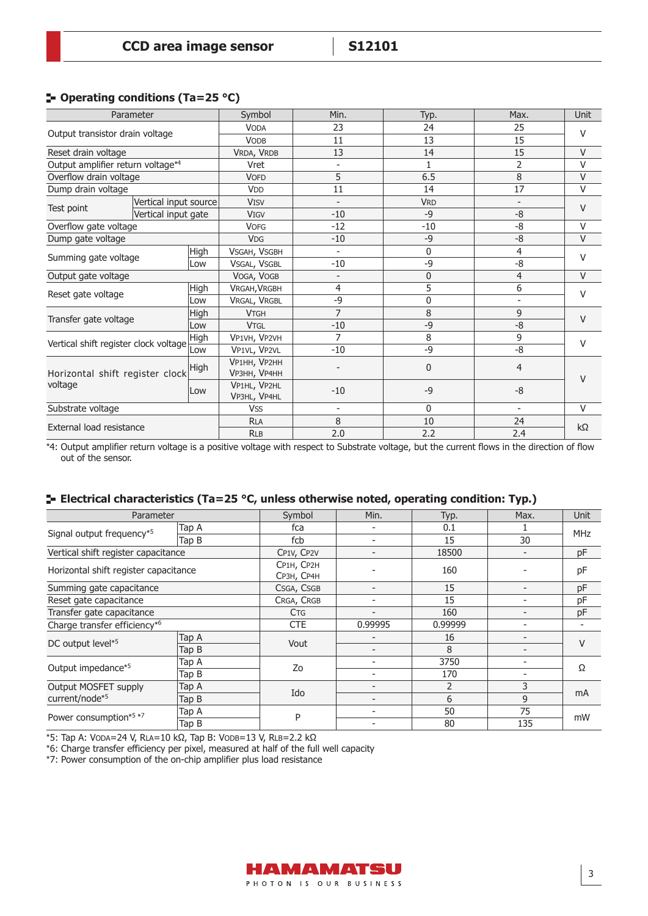#### **Operating conditions (Ta=25 °C)**

| Parameter                                  |                       | Symbol | Min.                                | Typ.                     | Max.         | <b>Unit</b>              |           |  |
|--------------------------------------------|-----------------------|--------|-------------------------------------|--------------------------|--------------|--------------------------|-----------|--|
|                                            |                       |        | <b>VODA</b>                         | 23                       | 24           | 25                       | V         |  |
| Output transistor drain voltage            |                       |        | <b>VODB</b>                         | 11                       | 13           | 15                       |           |  |
| Reset drain voltage                        |                       |        | VRDA, VRDB                          | 13                       | 14           | 15                       | $\vee$    |  |
| Output amplifier return voltage*4          |                       |        | Vret                                | $\overline{\phantom{a}}$ | $\mathbf{1}$ | $\overline{2}$           | $\vee$    |  |
| Overflow drain voltage                     |                       |        | <b>VOFD</b>                         | 5                        | 6.5          | 8                        | V         |  |
| Dump drain voltage                         |                       |        | <b>V<sub>DD</sub></b>               | 11                       | 14           | 17                       | $\vee$    |  |
|                                            | Vertical input source |        | <b>VISV</b>                         | $\overline{\phantom{a}}$ | <b>VRD</b>   | ۰                        | V         |  |
| Test point                                 | Vertical input gate   |        | <b>VIGV</b>                         | $-10$                    | $-9$         | $-8$                     |           |  |
| Overflow gate voltage                      |                       |        | <b>VOFG</b>                         | $-12$                    | $-10$        | -8                       | V         |  |
| Dump gate voltage                          |                       |        | <b>VDG</b>                          | $-10$                    | $-9$         | -8                       | $\vee$    |  |
| High<br>Summing gate voltage<br>Low        |                       |        | VSGAH, VSGBH                        | $\overline{\phantom{a}}$ | $\mathbf 0$  | 4                        | V         |  |
|                                            |                       |        | VSGAL, VSGBL                        | $-10$                    | -9           | -8                       |           |  |
| Output gate voltage                        |                       |        | VOGA, VOGB                          | $\overline{\phantom{a}}$ | $\mathbf 0$  | 4                        | V         |  |
| Reset gate voltage                         |                       | High   | VRGAH, VRGBH                        | 4                        | 5            | 6                        | V         |  |
|                                            |                       | Low    | VRGAL, VRGBL                        | -9                       | $\mathbf{0}$ | $\overline{\phantom{a}}$ |           |  |
| Transfer gate voltage                      |                       | High   | <b>VTGH</b>                         | $\overline{7}$           | 8            | 9                        | V         |  |
|                                            |                       | Low    | <b>VTGL</b>                         | $-10$                    | -9           | $-8$                     |           |  |
| Vertical shift register clock voltage      |                       | High   | VP1VH, VP2VH                        | 7                        | 8            | 9                        | v         |  |
|                                            |                       | Low    | VP1VL, VP2VL                        | $-10$                    | -9           | -8                       |           |  |
| Horizontal shift register clock<br>voltage |                       | High   | VP1HH, VP2HH<br><b>VP3HH, VP4HH</b> |                          | $\mathbf 0$  | $\overline{4}$           | $\vee$    |  |
|                                            |                       | Low    | VP1HL, VP2HL<br>VP3HL, VP4HL        | $-10$                    | $-9$         | $-8$                     |           |  |
| Substrate voltage                          |                       |        | <b>VSS</b>                          | $\overline{\phantom{a}}$ | $\mathbf{0}$ | $\qquad \qquad -$        | $\vee$    |  |
| External load resistance                   |                       |        | <b>RLA</b>                          | 8                        | 10           | 24                       | $k\Omega$ |  |
|                                            |                       |        | <b>RLB</b>                          | 2.0                      | 2.2          | 2.4                      |           |  |

 $*4$ : Output amplifier return voltage is a positive voltage with respect to Substrate voltage, but the current flows in the direction of flow out of the sensor.

#### **E-** Electrical characteristics (Ta=25 °C, unless otherwise noted, operating condition: Typ.)

| Parameter                             |                                     | Symbol                   | Min.                     | Typ.    | Max.                     | <b>Unit</b> |
|---------------------------------------|-------------------------------------|--------------------------|--------------------------|---------|--------------------------|-------------|
|                                       | Tap A                               | fca                      |                          | 0.1     |                          |             |
| Signal output frequency*5             | Tap B                               | fcb                      | $\overline{\phantom{0}}$ | 15      | 30                       | <b>MHz</b>  |
|                                       | Vertical shift register capacitance |                          | $\overline{\phantom{0}}$ | 18500   | $\overline{\phantom{a}}$ | pF          |
| Horizontal shift register capacitance |                                     | CP1H, CP2H<br>СРЗН, СР4Н |                          | 160     | ٠                        | pF          |
| Summing gate capacitance              |                                     | CSGA, CSGB               | $\overline{\phantom{a}}$ | 15      | $\overline{\phantom{0}}$ | pF          |
| Reset gate capacitance                |                                     | CRGA, CRGB               | $\overline{\phantom{a}}$ | 15      |                          | pF          |
| Transfer gate capacitance             |                                     | <b>C<sub>TG</sub></b>    | $\overline{\phantom{a}}$ | 160     | $\qquad \qquad -$        | pF          |
| Charge transfer efficiency*6          |                                     | <b>CTE</b>               | 0.99995                  | 0.99999 | ٠                        |             |
| DC output level*5                     | Tap A                               | Vout                     | $\overline{\phantom{0}}$ | 16      | $\overline{\phantom{a}}$ | V           |
|                                       | Tap B                               |                          | $\overline{\phantom{a}}$ | 8       | $\overline{\phantom{0}}$ |             |
|                                       | Tap A                               |                          | $\overline{\phantom{a}}$ | 3750    | -                        |             |
| Output impedance*5                    | Tap B                               | Zo                       | $\overline{\phantom{0}}$ | 170     | $\overline{\phantom{0}}$ | Ω           |
| <b>Output MOSFET supply</b><br>Tap A  |                                     |                          | $\overline{\phantom{0}}$ | 2       | 3                        |             |
| current/node*5                        | Tap B                               | Ido                      | $\overline{\phantom{0}}$ | 6       | 9                        | mA          |
|                                       | Tap A                               |                          |                          | 50      | 75                       |             |
| Power consumption*5 *7                | Tap B                               | P                        |                          | 80      | 135                      | mW          |

\*5: Tap A: VODA=24 V, RLA=10 kΩ, Tap B: VODB=13 V, RLB=2.2 kΩ

\*6: Charge transfer efficiency per pixel, measured at half of the full well capacity

\*7: Power consumption of the on-chip amplifier plus load resistance

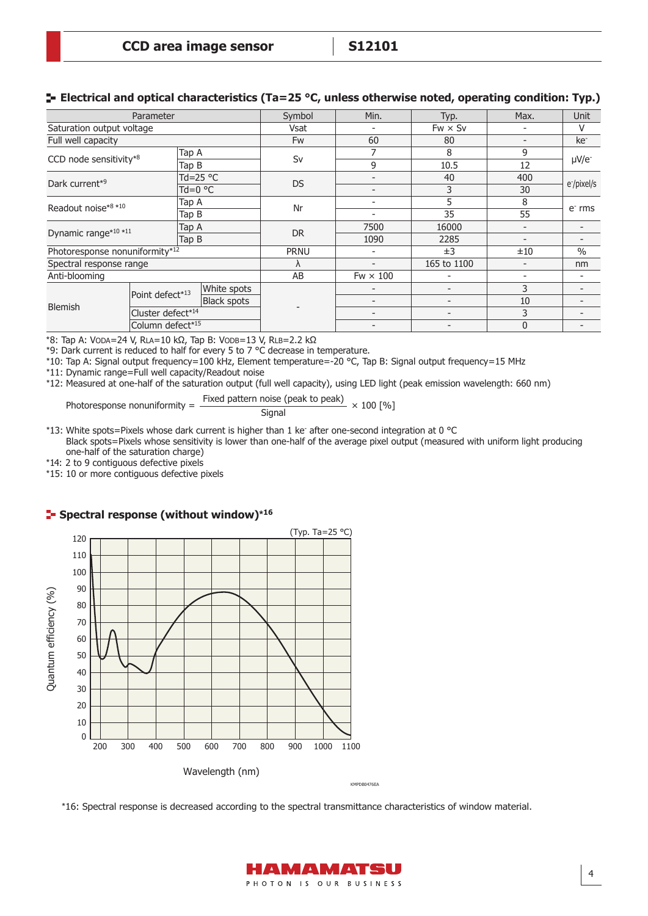#### **E** Electrical and optical characteristics (Ta=25 °C, unless otherwise noted, operating condition: Typ.)

| Parameter                      |                   | Symbol            | Min.                     | Typ.      | Max.                     | <b>Unit</b>              |                          |                         |  |
|--------------------------------|-------------------|-------------------|--------------------------|-----------|--------------------------|--------------------------|--------------------------|-------------------------|--|
| Saturation output voltage      |                   |                   |                          | Vsat      |                          | $Fw \times Sv$           | $\overline{\phantom{a}}$ | V                       |  |
| Full well capacity             |                   |                   |                          | <b>Fw</b> | 60                       | 80                       | $\overline{\phantom{a}}$ | ke <sup>-</sup>         |  |
| CCD node sensitivity*8         |                   | Tap A             |                          | Sv        | 7                        | 8                        | 9                        |                         |  |
|                                |                   | Tap B             |                          |           | 9                        | 10.5                     | 12                       | $\mu$ V/e-              |  |
| Dark current*9                 |                   | Td=25 $\degree$ C |                          | <b>DS</b> | $\overline{\phantom{0}}$ | 40                       | 400                      | e <sup>-</sup> /pixel/s |  |
|                                |                   | $Td=0$ °C         |                          |           | $\overline{\phantom{0}}$ | 3                        | 30                       |                         |  |
| Readout noise*8 *10            |                   | Tap A<br>Tap B    |                          | Nr        |                          | 5                        | 8                        | $e-$ rms                |  |
|                                |                   |                   |                          |           | $\overline{\phantom{a}}$ | 35                       | 55                       |                         |  |
| Dynamic range*10 *11           |                   | Tap A<br>Tap B    |                          | <b>DR</b> | 7500                     | 16000                    |                          |                         |  |
|                                |                   |                   |                          |           | 1090                     | 2285                     |                          |                         |  |
| Photoresponse nonuniformity*12 |                   | <b>PRNU</b>       | $\overline{\phantom{a}}$ | ±3        | ±10                      | $\frac{0}{0}$            |                          |                         |  |
| Spectral response range        |                   |                   |                          | Λ         | $\overline{\phantom{a}}$ | 165 to 1100              | $\overline{\phantom{a}}$ | nm                      |  |
| Anti-blooming                  |                   |                   |                          | AB        | $Fw \times 100$          | ٠                        | $\qquad \qquad$          |                         |  |
|                                | Point defect*13   |                   | White spots              |           |                          | $\overline{\phantom{0}}$ | 3                        |                         |  |
| <b>Blemish</b>                 |                   |                   | <b>Black spots</b>       |           | $\overline{\phantom{a}}$ | $\overline{\phantom{0}}$ | 10                       |                         |  |
|                                | Cluster defect*14 |                   |                          |           | $\overline{\phantom{a}}$ | $\overline{\phantom{0}}$ | 3                        |                         |  |
|                                | Column defect*15  |                   |                          |           |                          | $\overline{0}$           |                          |                         |  |

\*8: Tap A: VODA=24 V, RLA=10 kΩ, Tap B: VODB=13 V, RLB=2.2 kΩ

\*9: Dark current is reduced to half for every 5 to 7 °C decrease in temperature.

\*10: Tap A: Signal output frequency=100 kHz, Element temperature=-20 °C, Tap B: Signal output frequency=15 MHz

\*11: Dynamic range=Full well capacity/Readout noise

\*12: Measured at one-half of the saturation output (full well capacity), using LED light (peak emission wavelength: 660 nm)

Photoresponse nonuniformity =  $\frac{\text{Fixed pattern noise (peak to peak)}}{\text{Area}} \times 100$  [%] **Signal** 

\*13: White spots=Pixels whose dark current is higher than 1 ke<sup>-</sup> after one-second integration at 0 °C Black spots=Pixels whose sensitivity is lower than one-half of the average pixel output (measured with uniform light producing one-half of the saturation charge)

\*14: 2 to 9 contiguous defective pixels

\*15: 10 or more contiguous defective pixels

#### **Spectral response (without window)\*<sup>16</sup>**



\*16: Spectral response is decreased according to the spectral transmittance characteristics of window material.

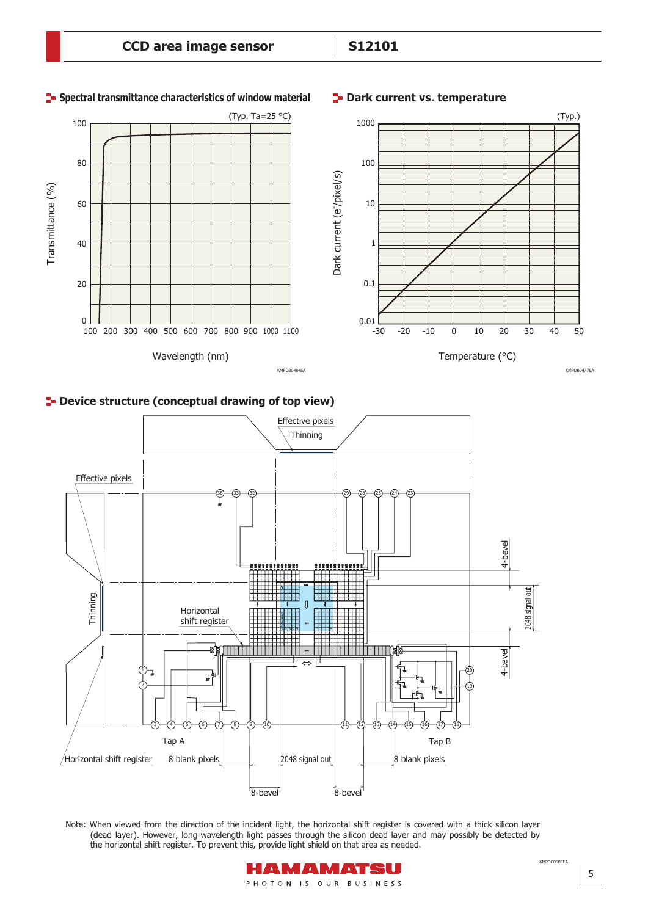

#### **P** Device structure (conceptual drawing of top view)



Note: When viewed from the direction of the incident light, the horizontal shift register is covered with a thick silicon layer (dead layer). However, long-wavelength light passes through the silicon dead layer and may possibly be detected by the horizontal shift register. To prevent this, provide light shield on that area as needed.



KMPDC0605EA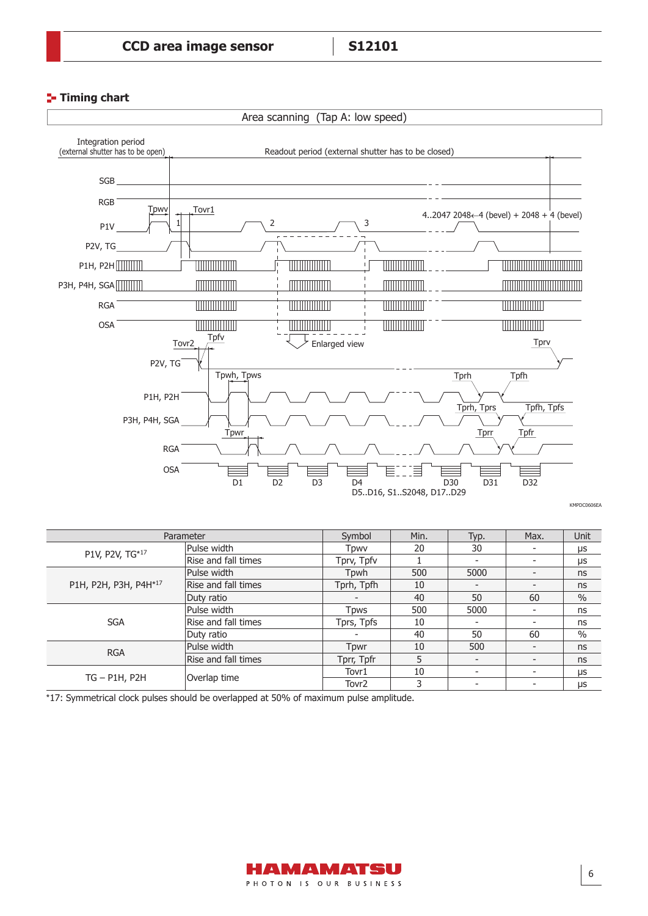#### **Timing chart**



KMPDC0606EA

| Parameter             |                     | Symbol            | Min. | Typ. | Max.                     | Unit |
|-----------------------|---------------------|-------------------|------|------|--------------------------|------|
| P1V, P2V, TG*17       | Pulse width         | Tpwv              | 20   | 30   |                          | μs   |
|                       | Rise and fall times | Tprv, Tpfv        |      |      |                          | μs   |
|                       | Pulse width         | Tpwh              | 500  | 5000 |                          | ns   |
| P1H, P2H, P3H, P4H*17 | Rise and fall times | Tprh, Tpfh        | 10   |      |                          | ns   |
|                       | Duty ratio          |                   | 40   | 50   | 60                       | $\%$ |
| <b>SGA</b>            | Pulse width         | <b>T</b> pws      | 500  | 5000 |                          | ns   |
|                       | Rise and fall times | Tprs, Tpfs        | 10   |      |                          | ns   |
|                       | Duty ratio          |                   | 40   | 50   | 60                       | $\%$ |
| <b>RGA</b>            | Pulse width         | Tpwr              | 10   | 500  | $\overline{\phantom{a}}$ | ns   |
|                       | Rise and fall times | Tprr, Tpfr        | 5    |      | $\overline{\phantom{a}}$ | ns   |
| $TG - P1H, P2H$       |                     | Tovr1             | 10   |      |                          | μs   |
|                       | Overlap time        | Tovr <sub>2</sub> | 3    |      |                          | μs   |

\*17: Symmetrical clock pulses should be overlapped at 50% of maximum pulse amplitude.

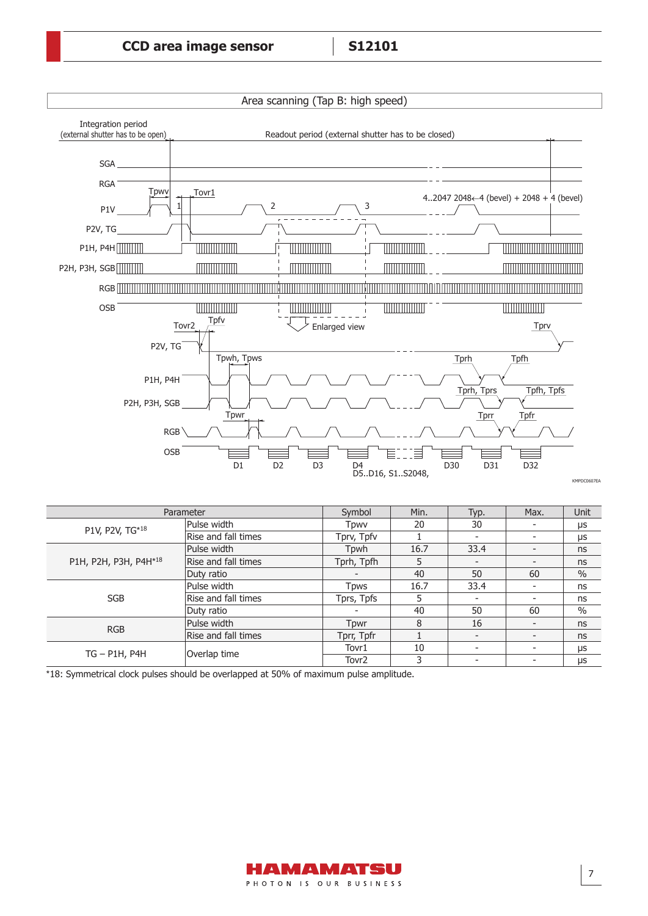

| Parameter             |                     | Symbol            | Min. | Typ. | Max.                     | Unit          |
|-----------------------|---------------------|-------------------|------|------|--------------------------|---------------|
| P1V, P2V, TG*18       | Pulse width         | Tpwv              | 20   | 30   |                          | μs            |
|                       | Rise and fall times | Tprv, Tpfv        |      |      |                          | μs            |
|                       | Pulse width         | Tpwh              | 16.7 | 33.4 | $\overline{\phantom{0}}$ | ns            |
| P1H, P2H, P3H, P4H*18 | Rise and fall times | Tprh, Tpfh        | 5    |      |                          | ns            |
|                       | Duty ratio          |                   | 40   | 50   | 60                       | $\frac{0}{0}$ |
| <b>SGB</b>            | Pulse width         | <b>T</b> pws      | 16.7 | 33.4 |                          | ns            |
|                       | Rise and fall times | Tprs, Tpfs        | 5    |      |                          | ns            |
|                       | Duty ratio          |                   | 40   | 50   | 60                       | $\%$          |
| <b>RGB</b>            | Pulse width         | Tpwr              | 8    | 16   |                          | ns            |
|                       | Rise and fall times | Tprr, Tpfr        |      |      |                          | ns            |
|                       | Overlap time        | Tovr1             | 10   |      |                          | μs            |
| $TG - P1H$ , $P4H$    |                     | Tovr <sub>2</sub> | 3    |      |                          | μs            |

\*18: Symmetrical clock pulses should be overlapped at 50% of maximum pulse amplitude.



7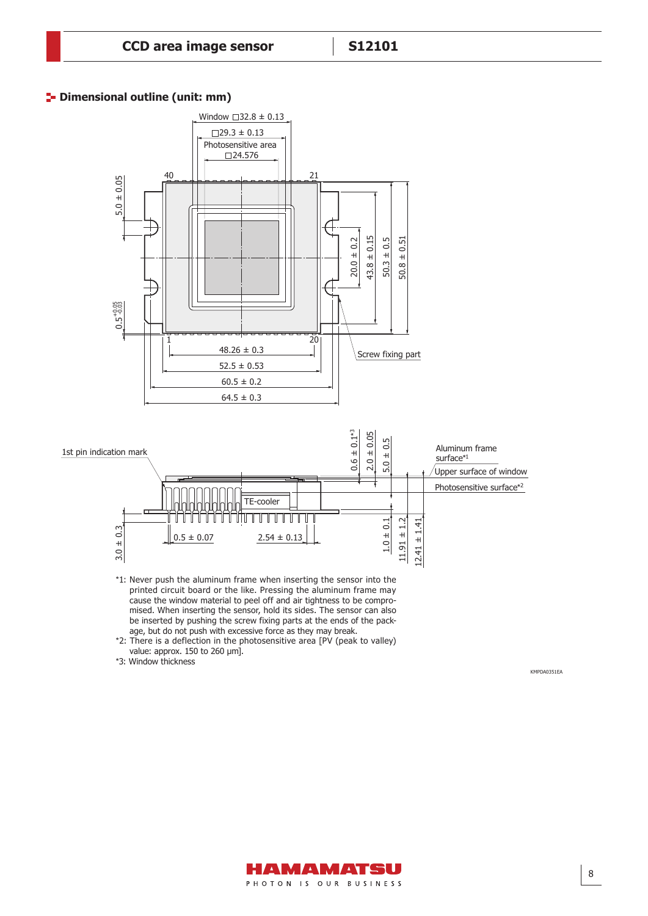#### **P** Dimensional outline (unit: mm)

Dimensional outline (S12101, unit: mm)



- \*1: Never push the aluminum frame when inserting the sensor into the printed circuit board or the like. Pressing the aluminum frame may cause the window material to peel off and air tightness to be compromised. When inserting the sensor, hold its sides. The sensor can also be inserted by pushing the screw fixing parts at the ends of the package, but do not push with excessive force as they may break.
- \*2: There is a deflection in the photosensitive area [PV (peak to valley) value: approx. 150 to 260 μm].
- \*3: Window thickness

KMPDA0351EA

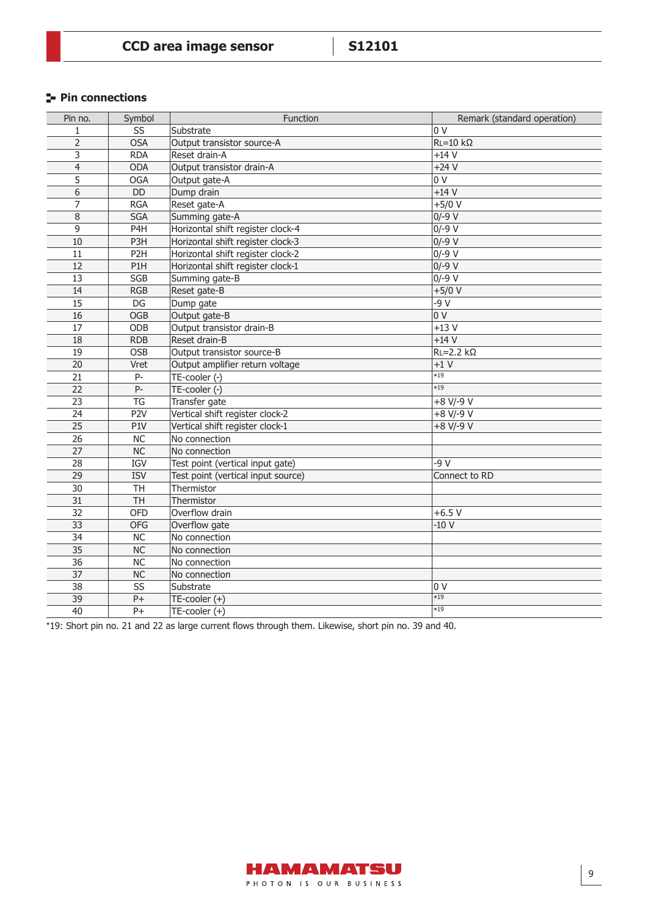### **Pin connections**

| Pin no.         | Symbol                 | Function                           | Remark (standard operation) |
|-----------------|------------------------|------------------------------------|-----------------------------|
| 1               | SS                     | Substrate                          | 0 <sub>V</sub>              |
| $\overline{2}$  | <b>OSA</b>             | Output transistor source-A         | $RL = 10$ kΩ                |
| 3               | <b>RDA</b>             | Reset drain-A                      | $+14V$                      |
| $\overline{4}$  | <b>ODA</b>             | Output transistor drain-A          | $+24V$                      |
| 5               | <b>OGA</b>             | Output gate-A                      | 0 <sub>V</sub>              |
| 6               | <b>DD</b>              | Dump drain                         | $+14V$                      |
| $\overline{7}$  | <b>RGA</b>             | Reset gate-A                       | $+5/0$ V                    |
| $\bf 8$         | <b>SGA</b>             | Summing gate-A                     | $0/-9$ V                    |
| 9               | P4H                    | Horizontal shift register clock-4  | $0/-9$ V                    |
| 10              | P3H                    | Horizontal shift register clock-3  | $0/-9$ V                    |
| 11              | P <sub>2</sub> H       | Horizontal shift register clock-2  | $0/-9$ V                    |
| 12              | P <sub>1</sub> H       | Horizontal shift register clock-1  | $0/-9$ V                    |
| 13              | SGB                    | Summing gate-B                     | $0/-9$ V                    |
| 14              | <b>RGB</b>             | Reset gate-B                       | $+5/0$ V                    |
| 15              | DG                     | Dump gate                          | $-9V$                       |
| 16              | <b>OGB</b>             | Output gate-B                      | 0V                          |
| 17              | ODB                    | Output transistor drain-B          | $+13V$                      |
| 18              | <b>RDB</b>             | Reset drain-B                      | $+14V$                      |
| 19              | <b>OSB</b>             | Output transistor source-B         | $RL = 2.2 k\Omega$          |
| 20              | Vret                   | Output amplifier return voltage    | $+1V$                       |
| 21              | $P-$                   | TE-cooler (-)                      | $*19$                       |
| 22              | P-                     | TE-cooler (-)                      | $*19$                       |
| 23              | <b>TG</b>              | Transfer gate                      | $+8$ V/-9 $\overline{V}$    |
| 24              | P <sub>2V</sub>        | Vertical shift register clock-2    | +8 V/-9 V                   |
| $\overline{25}$ | P1V                    | Vertical shift register clock-1    | $+8$ V/-9 V                 |
| 26              | <b>NC</b>              | No connection                      |                             |
| 27              | <b>NC</b>              | No connection                      |                             |
| 28              | <b>IGV</b>             | Test point (vertical input gate)   | $-9V$                       |
| 29              | <b>ISV</b>             | Test point (vertical input source) | Connect to RD               |
| $\overline{30}$ | <b>TH</b>              | Thermistor                         |                             |
| 31              | <b>TH</b>              | Thermistor                         |                             |
| 32              | <b>OFD</b>             | Overflow drain                     | $+6.5V$                     |
| 33              | <b>OFG</b>             | Overflow gate                      | $-10V$                      |
| 34              | NC                     | No connection                      |                             |
| 35              | NC                     | No connection                      |                             |
| 36              | <b>NC</b>              | No connection                      |                             |
| 37              | <b>NC</b>              | No connection                      |                             |
| $\overline{38}$ | $\overline{\text{SS}}$ | Substrate                          | 0 <sub>V</sub>              |
| 39              | $P+$                   | TE-cooler (+)                      | $\overline{19}$             |
| 40              | $P+$                   | TE-cooler (+)                      | $*19$                       |

\*19: Short pin no. 21 and 22 as large current flows through them. Likewise, short pin no. 39 and 40.

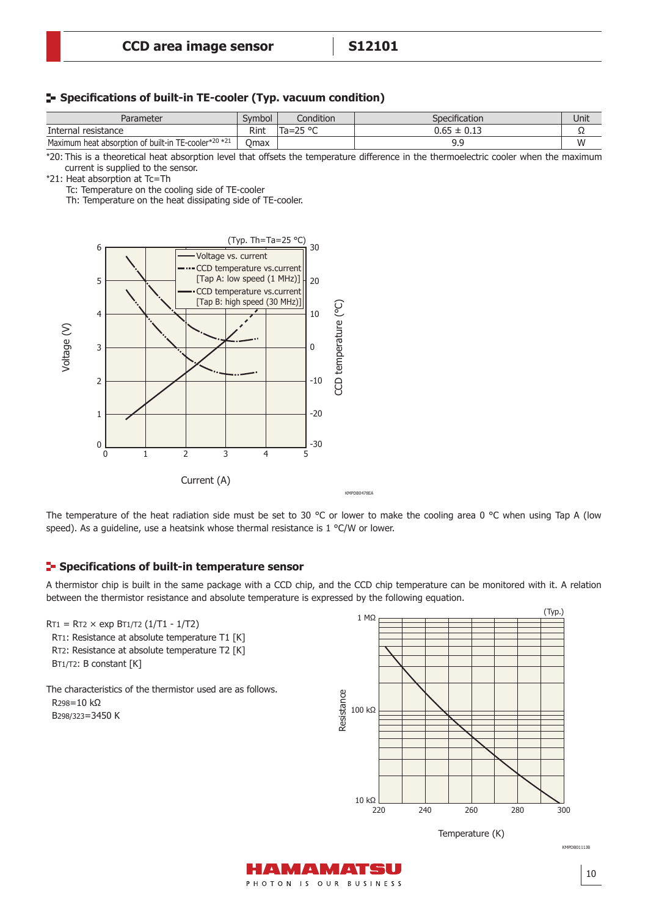#### **Specifications of built-in TE-cooler (Typ. vacuum condition)**

| Parameter                                            | Symbol      | Condition           | Specification        | Unit |
|------------------------------------------------------|-------------|---------------------|----------------------|------|
| Internal resistance                                  | Rint        | חס הר.<br>$Ta = 25$ | $0.65 \pm$<br>: 0.13 | --   |
| Maximum heat absorption of built-in TE-cooler*20 *21 | <b>Omax</b> |                     | a a<br><u></u>       | W    |

\*20: This is a theoretical heat absorption level that offsets the temperature difference in the thermoelectric cooler when the maximum current is supplied to the sensor.

\*21: Heat absorption at Tc=Th

Tc: Temperature on the cooling side of TE-cooler

Th: Temperature on the heat dissipating side of TE-cooler.



The temperature of the heat radiation side must be set to 30 °C or lower to make the cooling area 0 °C when using Tap A (low speed). As a guideline, use a heatsink whose thermal resistance is 1 °C/W or lower.

#### **E-** Specifications of built-in temperature sensor

A thermistor chip is built in the same package with a CCD chip, and the CCD chip temperature can be monitored with it. A relation between the thermistor resistance and absolute temperature is expressed by the following equation.